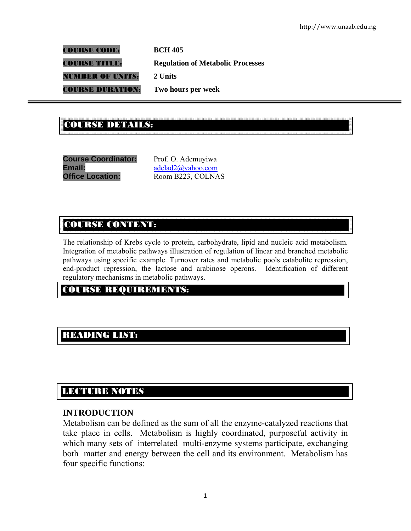COURSE CODE: **BCH 405**  COURSE TITLE: **Regulation of Metabolic Processes**  NUMBER OF UNITS: **2 Units**  COURSE DURATION: **Two hours per week** 

#### .<br>COURSE DE LA COURSE DE LA COURSE DE LA COURSE DE LA COURSE DE LA COURSE DE LA COURSE DE LA COURSE DE LA COURSE<br>COURSE DE LA COURSE DE LA COURSE DE LA COURSE DE LA COURSE DE LA COURSE DE LA COURSE DE LA COURSE DE LA COURS COURSE DETAILS:

**Course Coordinator:** Prof. O. Ademuyiwa **Email:** adelad2@yahoo.com **Office Location:** Room B223, COLNAS

# COURSE CONTENT:

The relationship of Krebs cycle to protein, carbohydrate, lipid and nucleic acid metabolism. Integration of metabolic pathways illustration of regulation of linear and branched metabolic pathways using specific example. Turnover rates and metabolic pools catabolite repression, end-product repression, the lactose and arabinose operons. Identification of different regulatory mechanisms in metabolic pathways.

## COURSE REQUIREMENTS:

# READING LIST:

# LECTURE NOTES

### **INTRODUCTION**

E

Metabolism can be defined as the sum of all the enzyme-catalyzed reactions that take place in cells. Metabolism is highly coordinated, purposeful activity in which many sets of interrelated multi-enzyme systems participate, exchanging both matter and energy between the cell and its environment. Metabolism has four specific functions: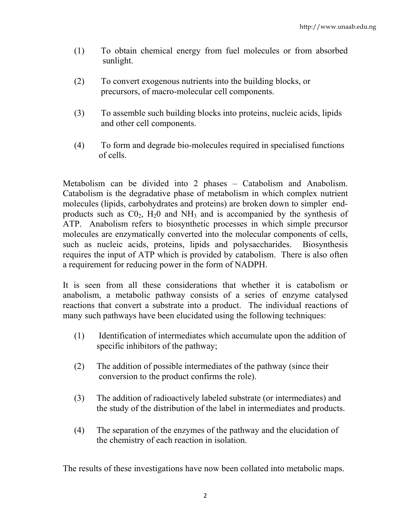- (1) To obtain chemical energy from fuel molecules or from absorbed sunlight.
- (2) To convert exogenous nutrients into the building blocks, or precursors, of macro-molecular cell components.
- (3) To assemble such building blocks into proteins, nucleic acids, lipids and other cell components.
- (4) To form and degrade bio-molecules required in specialised functions of cells.

Metabolism can be divided into 2 phases – Catabolism and Anabolism. Catabolism is the degradative phase of metabolism in which complex nutrient molecules (lipids, carbohydrates and proteins) are broken down to simpler endproducts such as  $CO<sub>2</sub>$ ,  $H<sub>2</sub>O$  and  $NH<sub>3</sub>$  and is accompanied by the synthesis of ATP. Anabolism refers to biosynthetic processes in which simple precursor molecules are enzymatically converted into the molecular components of cells, such as nucleic acids, proteins, lipids and polysaccharides. Biosynthesis requires the input of ATP which is provided by catabolism. There is also often a requirement for reducing power in the form of NADPH.

It is seen from all these considerations that whether it is catabolism or anabolism, a metabolic pathway consists of a series of enzyme catalysed reactions that convert a substrate into a product. The individual reactions of many such pathways have been elucidated using the following techniques:

- (1) Identification of intermediates which accumulate upon the addition of specific inhibitors of the pathway;
- (2) The addition of possible intermediates of the pathway (since their conversion to the product confirms the role).
- (3) The addition of radioactively labeled substrate (or intermediates) and the study of the distribution of the label in intermediates and products.
- (4) The separation of the enzymes of the pathway and the elucidation of the chemistry of each reaction in isolation.

The results of these investigations have now been collated into metabolic maps.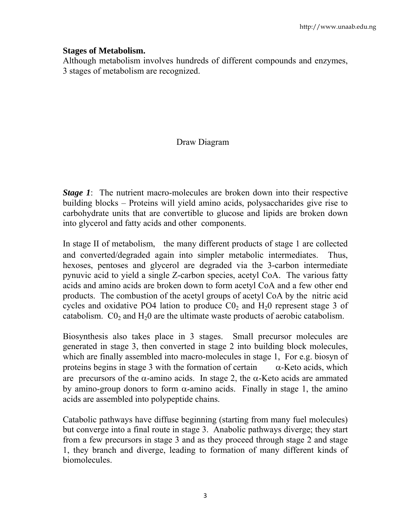#### **Stages of Metabolism.**

Although metabolism involves hundreds of different compounds and enzymes, 3 stages of metabolism are recognized.

## Draw Diagram

*Stage 1*: The nutrient macro-molecules are broken down into their respective building blocks – Proteins will yield amino acids, polysaccharides give rise to carbohydrate units that are convertible to glucose and lipids are broken down into glycerol and fatty acids and other components.

In stage II of metabolism, the many different products of stage 1 are collected and converted/degraded again into simpler metabolic intermediates. Thus, hexoses, pentoses and glycerol are degraded via the 3-carbon intermediate pynuvic acid to yield a single Z-carbon species, acetyl CoA. The various fatty acids and amino acids are broken down to form acetyl CoA and a few other end products. The combustion of the acetyl groups of acetyl CoA by the nitric acid cycles and oxidative PO4 lation to produce  $\text{C0}_2$  and  $\text{H}_2$ 0 represent stage 3 of catabolism.  $CO<sub>2</sub>$  and  $H<sub>2</sub>0$  are the ultimate waste products of aerobic catabolism.

Biosynthesis also takes place in 3 stages. Small precursor molecules are generated in stage 3, then converted in stage 2 into building block molecules, which are finally assembled into macro-molecules in stage 1, For e.g. biosyn of proteins begins in stage 3 with the formation of certain  $\alpha$ -Keto acids, which are precursors of the  $\alpha$ -amino acids. In stage 2, the  $\alpha$ -Keto acids are ammated by amino-group donors to form  $\alpha$ -amino acids. Finally in stage 1, the amino acids are assembled into polypeptide chains.

Catabolic pathways have diffuse beginning (starting from many fuel molecules) but converge into a final route in stage 3. Anabolic pathways diverge; they start from a few precursors in stage 3 and as they proceed through stage 2 and stage 1, they branch and diverge, leading to formation of many different kinds of biomolecules.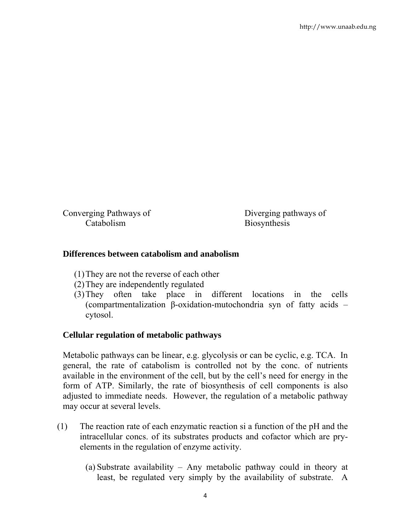Converging Pathways of Diverging pathways of Catabolism Biosynthesis

### **Differences between catabolism and anabolism**

- (1)They are not the reverse of each other
- (2)They are independently regulated
- (3)They often take place in different locations in the cells (compartmentalization β-oxidation-mutochondria syn of fatty acids – cytosol.

### **Cellular regulation of metabolic pathways**

Metabolic pathways can be linear, e.g. glycolysis or can be cyclic, e.g. TCA. In general, the rate of catabolism is controlled not by the conc. of nutrients available in the environment of the cell, but by the cell's need for energy in the form of ATP. Similarly, the rate of biosynthesis of cell components is also adjusted to immediate needs. However, the regulation of a metabolic pathway may occur at several levels.

- (1) The reaction rate of each enzymatic reaction si a function of the pH and the intracellular concs. of its substrates products and cofactor which are pryelements in the regulation of enzyme activity.
	- (a) Substrate availability Any metabolic pathway could in theory at least, be regulated very simply by the availability of substrate. A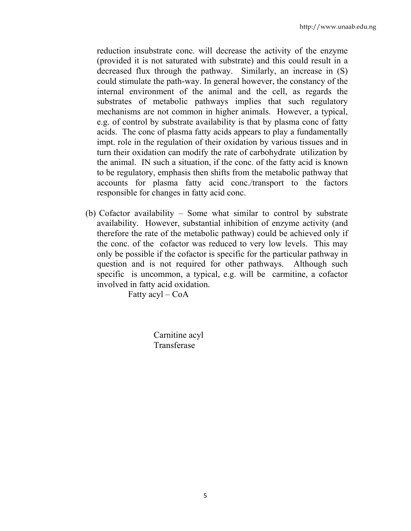reduction insubstrate conc. will decrease the activity of the enzyme (provided it is not saturated with substrate) and this could result in a decreased flux through the pathway. Similarly, an increase in (S) could stimulate the path-way. In general however, the constancy of the internal environment of the animal and the cell, as regards the substrates of metabolic pathways implies that such regulatory mechanisms are not common in higher animals. However, a typical, e.g. of control by substrate availability is that by plasma conc of fatty acids. The conc of plasma fatty acids appears to play a fundamentally impt. role in the regulation of their oxidation by various tissues and in turn their oxidation can modify the rate of carbohydrate utilization by the animal. IN such a situation, if the conc. of the fatty acid is known to be regulatory, emphasis then shifts from the metabolic pathway that accounts for plasma fatty acid conc./transport to the factors responsible for changes in fatty acid conc.

(b) Cofactor availability – Some what similar to control by substrate availability. However, substantial inhibition of enzyme activity (and therefore the rate of the metabolic pathway) could be achieved only if the conc. of the cofactor was reduced to very low levels. This may only be possible if the cofactor is specific for the particular pathway in question and is not required for other pathways. Although such specific is uncommon, a typical, e.g. will be carmitine, a cofactor involved in fatty acid oxidation.

Fatty  $acyl - CoA$ 

 Carnitine acyl Transferase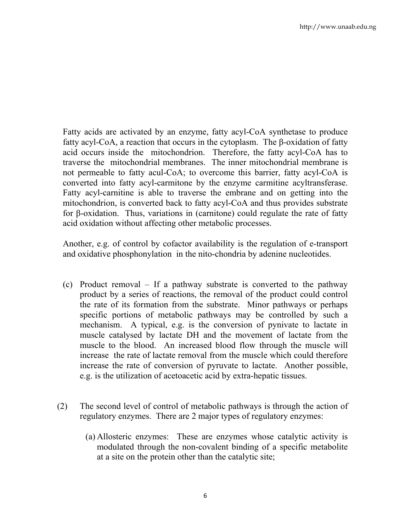Fatty acids are activated by an enzyme, fatty acyl-CoA synthetase to produce fatty acyl-CoA, a reaction that occurs in the cytoplasm. The β-oxidation of fatty acid occurs inside the mitochondrion. Therefore, the fatty acyl-CoA has to traverse the mitochondrial membranes. The inner mitochondrial membrane is not permeable to fatty acul-CoA; to overcome this barrier, fatty acyl-CoA is converted into fatty acyl-carmitone by the enzyme carmitine acyltransferase. Fatty acyl-carnitine is able to traverse the embrane and on getting into the mitochondrion, is converted back to fatty acyl-CoA and thus provides substrate for β-oxidation. Thus, variations in (carnitone) could regulate the rate of fatty acid oxidation without affecting other metabolic processes.

Another, e.g. of control by cofactor availability is the regulation of e-transport and oxidative phosphonylation in the nito-chondria by adenine nucleotides.

- (c) Product removal If a pathway substrate is converted to the pathway product by a series of reactions, the removal of the product could control the rate of its formation from the substrate. Minor pathways or perhaps specific portions of metabolic pathways may be controlled by such a mechanism. A typical, e.g. is the conversion of pynivate to lactate in muscle catalysed by lactate DH and the movement of lactate from the muscle to the blood. An increased blood flow through the muscle will increase the rate of lactate removal from the muscle which could therefore increase the rate of conversion of pyruvate to lactate. Another possible, e.g. is the utilization of acetoacetic acid by extra-hepatic tissues.
- (2) The second level of control of metabolic pathways is through the action of regulatory enzymes. There are 2 major types of regulatory enzymes:
	- (a) Allosteric enzymes: These are enzymes whose catalytic activity is modulated through the non-covalent binding of a specific metabolite at a site on the protein other than the catalytic site;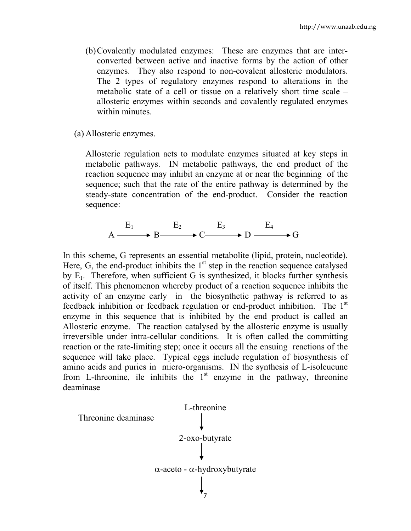- (b)Covalently modulated enzymes: These are enzymes that are interconverted between active and inactive forms by the action of other enzymes. They also respond to non-covalent allosteric modulators. The 2 types of regulatory enzymes respond to alterations in the metabolic state of a cell or tissue on a relatively short time scale – allosteric enzymes within seconds and covalently regulated enzymes within minutes.
- (a) Allosteric enzymes.

Allosteric regulation acts to modulate enzymes situated at key steps in metabolic pathways. IN metabolic pathways, the end product of the reaction sequence may inhibit an enzyme at or near the beginning of the sequence; such that the rate of the entire pathway is determined by the steady-state concentration of the end-product. Consider the reaction sequence:

$$
A \xrightarrow{E_1} B \xrightarrow{E_2} C \xrightarrow{E_3} D \xrightarrow{E_4} G
$$

In this scheme, G represents an essential metabolite (lipid, protein, nucleotide). Here, G, the end-product inhibits the  $1<sup>st</sup>$  step in the reaction sequence catalysed by  $E_1$ . Therefore, when sufficient G is synthesized, it blocks further synthesis of itself. This phenomenon whereby product of a reaction sequence inhibits the activity of an enzyme early in the biosynthetic pathway is referred to as feedback inhibition or feedback regulation or end-product inhibition. The 1<sup>st</sup> enzyme in this sequence that is inhibited by the end product is called an Allosteric enzyme. The reaction catalysed by the allosteric enzyme is usually irreversible under intra-cellular conditions. It is often called the committing reaction or the rate-limiting step; once it occurs all the ensuing reactions of the sequence will take place. Typical eggs include regulation of biosynthesis of amino acids and puries in micro-organisms. IN the synthesis of L-isoleucune from L-threonine, ile inhibits the  $1<sup>st</sup>$  enzyme in the pathway, threonine deaminase

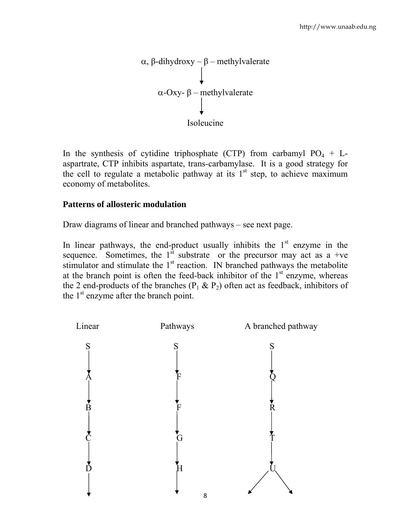

In the synthesis of cytidine triphosphate (CTP) from carbamyl  $PO_4 + L$ aspartrate, CTP inhibits aspartate, trans-carbamylase. It is a good strategy for the cell to regulate a metabolic pathway at its  $1<sup>st</sup>$  step, to achieve maximum economy of metabolites.

### **Patterns of allosteric modulation**

Draw diagrams of linear and branched pathways – see next page.

In linear pathways, the end-product usually inhibits the  $1<sup>st</sup>$  enzyme in the sequence. Sometimes, the  $1<sup>st</sup>$  substrate or the precursor may act as a +ve stimulator and stimulate the  $1<sup>st</sup>$  reaction. IN branched pathways the metabolite at the branch point is often the feed-back inhibitor of the  $1<sup>st</sup>$  enzyme, whereas the 2 end-products of the branches  $(P_1 \& P_2)$  often act as feedback, inhibitors of the  $1<sup>st</sup>$  enzyme after the branch point.

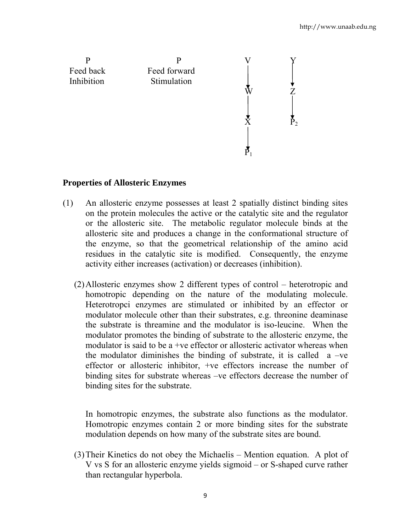

### **Properties of Allosteric Enzymes**

- (1) An allosteric enzyme possesses at least 2 spatially distinct binding sites on the protein molecules the active or the catalytic site and the regulator or the allosteric site. The metabolic regulator molecule binds at the allosteric site and produces a change in the conformational structure of the enzyme, so that the geometrical relationship of the amino acid residues in the catalytic site is modified. Consequently, the enzyme activity either increases (activation) or decreases (inhibition).
	- (2)Allosteric enzymes show 2 different types of control heterotropic and homotropic depending on the nature of the modulating molecule. Heterotropci enzymes are stimulated or inhibited by an effector or modulator molecule other than their substrates, e.g. threonine deaminase the substrate is threamine and the modulator is iso-leucine. When the modulator promotes the binding of substrate to the allosteric enzyme, the modulator is said to be a +ve effector or allosteric activator whereas when the modulator diminishes the binding of substrate, it is called  $a -ve$ effector or allosteric inhibitor, +ve effectors increase the number of binding sites for substrate whereas –ve effectors decrease the number of binding sites for the substrate.

In homotropic enzymes, the substrate also functions as the modulator. Homotropic enzymes contain 2 or more binding sites for the substrate modulation depends on how many of the substrate sites are bound.

(3)Their Kinetics do not obey the Michaelis – Mention equation. A plot of V vs S for an allosteric enzyme yields sigmoid – or S-shaped curve rather than rectangular hyperbola.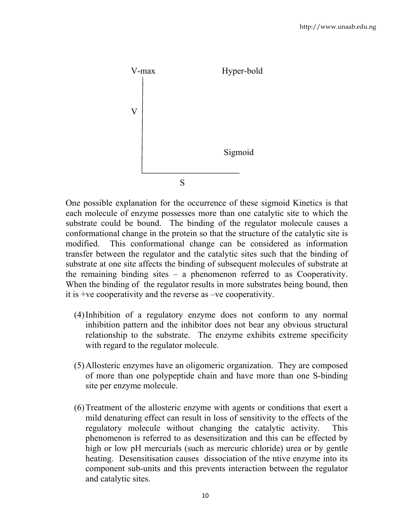

One possible explanation for the occurrence of these sigmoid Kinetics is that each molecule of enzyme possesses more than one catalytic site to which the substrate could be bound. The binding of the regulator molecule causes a conformational change in the protein so that the structure of the catalytic site is modified. This conformational change can be considered as information transfer between the regulator and the catalytic sites such that the binding of substrate at one site affects the binding of subsequent molecules of substrate at the remaining binding sites – a phenomenon referred to as Cooperativity. When the binding of the regulator results in more substrates being bound, then it is +ve cooperativity and the reverse as –ve cooperativity.

- (4)Inhibition of a regulatory enzyme does not conform to any normal inhibition pattern and the inhibitor does not bear any obvious structural relationship to the substrate. The enzyme exhibits extreme specificity with regard to the regulator molecule.
- (5)Allosteric enzymes have an oligomeric organization. They are composed of more than one polypeptide chain and have more than one S-binding site per enzyme molecule.
- (6)Treatment of the allosteric enzyme with agents or conditions that exert a mild denaturing effect can result in loss of sensitivity to the effects of the regulatory molecule without changing the catalytic activity. This phenomenon is referred to as desensitization and this can be effected by high or low pH mercurials (such as mercuric chloride) urea or by gentle heating. Desensitisation causes dissociation of the ntive enzyme into its component sub-units and this prevents interaction between the regulator and catalytic sites.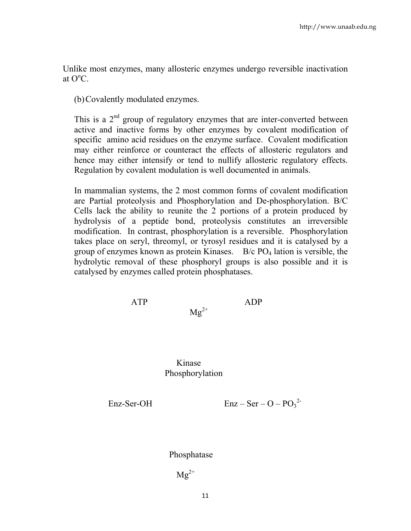Unlike most enzymes, many allosteric enzymes undergo reversible inactivation at  $O^{\circ}C$ .

(b)Covalently modulated enzymes.

This is a  $2<sup>nd</sup>$  group of regulatory enzymes that are inter-converted between active and inactive forms by other enzymes by covalent modification of specific amino acid residues on the enzyme surface. Covalent modification may either reinforce or counteract the effects of allosteric regulators and hence may either intensify or tend to nullify allosteric regulatory effects. Regulation by covalent modulation is well documented in animals.

In mammalian systems, the 2 most common forms of covalent modification are Partial proteolysis and Phosphorylation and De-phosphorylation. B/C Cells lack the ability to reunite the 2 portions of a protein produced by hydrolysis of a peptide bond, proteolysis constitutes an irreversible modification. In contrast, phosphorylation is a reversible. Phosphorylation takes place on seryl, threomyl, or tyrosyl residues and it is catalysed by a group of enzymes known as protein Kinases.  $B/c$  PO<sub>4</sub> lation is versible, the hydrolytic removal of these phosphoryl groups is also possible and it is catalysed by enzymes called protein phosphatases.

$$
ATP \t\t\t\t Mg^{2+} \t\t ADP
$$

 Kinase Phosphorylation

Enz-Ser-OH  $\text{Enz-Ser-O} + \text{Onz}^2$ 

Phosphatase

 $Mg^{2+}$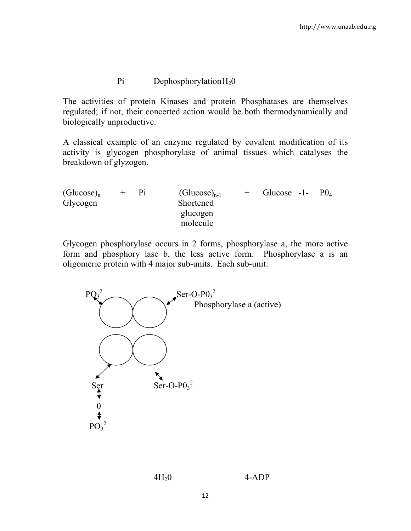### Pi Dephosphorylation H<sub>2</sub>0

The activities of protein Kinases and protein Phosphatases are themselves regulated; if not, their concerted action would be both thermodynamically and biologically unproductive.

A classical example of an enzyme regulated by covalent modification of its activity is glycogen phosphorylase of animal tissues which catalyses the breakdown of glyzogen.

| Glucose $-1$ - $PQ_4$ |  |
|-----------------------|--|
|                       |  |
|                       |  |
|                       |  |
|                       |  |

Glycogen phosphorylase occurs in 2 forms, phosphorylase a, the more active form and phosphory lase b, the less active form. Phosphorylase a is an oligomeric protein with 4 major sub-units. Each sub-unit:

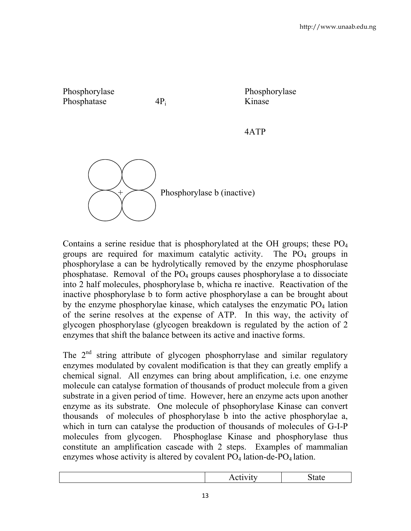

Contains a serine residue that is phosphorylated at the OH groups; these  $PO<sub>4</sub>$ groups are required for maximum catalytic activity. The  $PO<sub>4</sub>$  groups in phosphorylase a can be hydrolytically removed by the enzyme phosphorulase phosphatase. Removal of the  $PO_4$  groups causes phosphorylase a to dissociate into 2 half molecules, phosphorylase b, whicha re inactive. Reactivation of the inactive phosphorylase b to form active phosphorylase a can be brought about by the enzyme phosphorylae kinase, which catalyses the enzymatic  $PO<sub>4</sub>$  lation of the serine resolves at the expense of ATP. In this way, the activity of glycogen phosphorylase (glycogen breakdown is regulated by the action of 2 enzymes that shift the balance between its active and inactive forms.

The  $2<sup>nd</sup>$  string attribute of glycogen phosphorrylase and similar regulatory enzymes modulated by covalent modification is that they can greatly emplify a chemical signal. All enzymes can bring about amplification, i.e. one enzyme molecule can catalyse formation of thousands of product molecule from a given substrate in a given period of time. However, here an enzyme acts upon another enzyme as its substrate. One molecule of phsophorylase Kinase can convert thousands of molecules of phosphorylase b into the active phosphorylae a, which in turn can catalyse the production of thousands of molecules of G-I-P molecules from glycogen. Phosphoglase Kinase and phosphorylase thus constitute an amplification cascade with 2 steps. Examples of mammalian enzymes whose activity is altered by covalent  $PO<sub>4</sub>$  lation-de- $PO<sub>4</sub>$  lation.

| . .<br>. เง<br>$\sim$ $\sim$ $\sim$ $\sim$ $\sim$<br>. |
|--------------------------------------------------------|
|--------------------------------------------------------|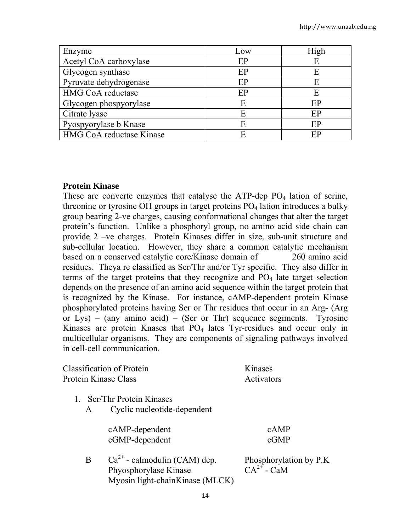| Enzyme                   | Low | High |
|--------------------------|-----|------|
| Acetyl CoA carboxylase   | EP  | E    |
| Glycogen synthase        | EP  | E    |
| Pyruvate dehydrogenase   | EP  | E    |
| <b>HMG CoA reductase</b> | EP  | E    |
| Glycogen phospyorylase   | E   | EP   |
| Citrate lyase            | E   | EP   |
| Pyospyorylase b Knase    |     | EP   |
| HMG CoA reductase Kinase |     | FР   |

#### **Protein Kinase**

These are converte enzymes that catalyse the ATP-dep  $PO_4$  lation of serine, threonine or tyrosine OH groups in target proteins  $PO_4$  lation introduces a bulky group bearing 2-ve charges, causing conformational changes that alter the target protein's function. Unlike a phosphoryl group, no amino acid side chain can provide 2 –ve charges. Protein Kinases differ in size, sub-unit structure and sub-cellular location. However, they share a common catalytic mechanism based on a conserved catalytic core/Kinase domain of 260 amino acid residues. Theya re classified as Ser/Thr and/or Tyr specific. They also differ in terms of the target proteins that they recognize and  $PO<sub>4</sub>$  late target selection depends on the presence of an amino acid sequence within the target protein that is recognized by the Kinase. For instance, cAMP-dependent protein Kinase phosphorylated proteins having Ser or Thr residues that occur in an Arg- (Arg or Lys) – (any amino acid) – (Ser or Thr) sequence segiments. Tyrosine Kinases are protein Knases that  $PO_4$  lates Tyr-residues and occur only in multicellular organisms. They are components of signaling pathways involved in cell-cell communication.

| <b>Classification of Protein</b> | Kinases    |
|----------------------------------|------------|
| Protein Kinase Class             | Activators |

- 1. Ser/Thr Protein Kinases
	- A Cyclic nucleotide-dependent

| cAMP-dependent | cAMP |
|----------------|------|
| cGMP-dependent | cGMP |

B  $Ca^{2+}$  - calmodulin (CAM) dep. Phosphorylation by P.K<br>Phyosphorylase Kinase  $CA^{2+}$  - CaM Phyosphorylase Kinase Myosin light-chainKinase (MLCK)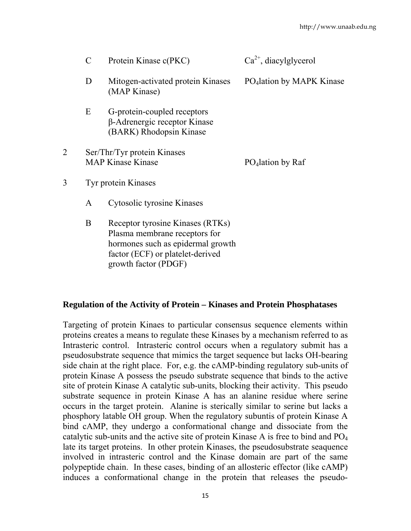|   | $\mathcal{C}$                                           | Protein Kinase c(PKC)                                                                                                                                              | $Ca^{2+}$ , diacylglycerol            |
|---|---------------------------------------------------------|--------------------------------------------------------------------------------------------------------------------------------------------------------------------|---------------------------------------|
|   | D<br>Mitogen-activated protein Kinases<br>(MAP Kinase)  |                                                                                                                                                                    | PO <sub>4</sub> lation by MAPK Kinase |
|   | E                                                       | G-protein-coupled receptors<br>β-Adrenergic receptor Kinase<br>(BARK) Rhodopsin Kinase                                                                             |                                       |
|   | Ser/Thr/Tyr protein Kinases<br><b>MAP Kinase Kinase</b> |                                                                                                                                                                    | PO <sub>4</sub> lation by Raf         |
| 3 | Tyr protein Kinases<br>A<br>Cytosolic tyrosine Kinases  |                                                                                                                                                                    |                                       |
|   |                                                         |                                                                                                                                                                    |                                       |
|   | B                                                       | Receptor tyrosine Kinases (RTKs)<br>Plasma membrane receptors for<br>hormones such as epidermal growth<br>factor (ECF) or platelet-derived<br>growth factor (PDGF) |                                       |

#### **Regulation of the Activity of Protein – Kinases and Protein Phosphatases**

Targeting of protein Kinaes to particular consensus sequence elements within proteins creates a means to regulate these Kinases by a mechanism referred to as Intrasteric control. Intrasteric control occurs when a regulatory submit has a pseudosubstrate sequence that mimics the target sequence but lacks OH-bearing side chain at the right place. For, e.g. the cAMP-binding regulatory sub-units of protein Kinase A possess the pseudo substrate sequence that binds to the active site of protein Kinase A catalytic sub-units, blocking their activity. This pseudo substrate sequence in protein Kinase A has an alanine residue where serine occurs in the target protein. Alanine is sterically similar to serine but lacks a phosphory latable OH group. When the regulatory subuntis of protein Kinase A bind cAMP, they undergo a conformational change and dissociate from the catalytic sub-units and the active site of protein Kinase A is free to bind and  $PO<sub>4</sub>$ late its target proteins. In other protein Kinases, the pseudosubstrate seaquence involved in intrasteric control and the Kinase domain are part of the same polypeptide chain. In these cases, binding of an allosteric effector (like cAMP) induces a conformational change in the protein that releases the pseudo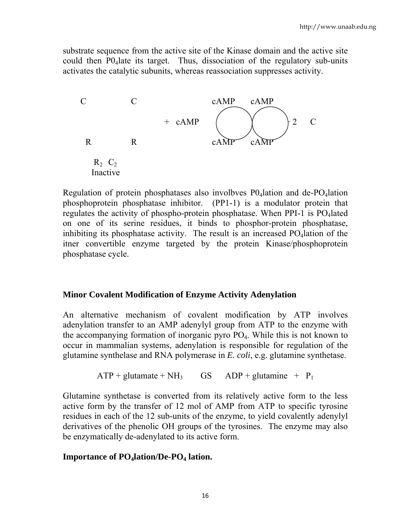substrate sequence from the active site of the Kinase domain and the active site could then P04late its target. Thus, dissociation of the regulatory sub-units activates the catalytic subunits, whereas reassociation suppresses activity.



Regulation of protein phosphatases also involbves  $P0_4$ lation and de-PO<sub>4</sub>lation phosphoprotein phosphatase inhibitor. (PP1-1) is a modulator protein that regulates the activity of phospho-protein phosphatase. When PPI-1 is  $PO_4$ lated on one of its serine residues, it binds to phosphor-protein phosphatase, inhibiting its phosphatase activity. The result is an increased  $PO<sub>4</sub>$ lation of the itner convertible enzyme targeted by the protein Kinase/phosphoprotein phosphatase cycle.

### **Minor Covalent Modification of Enzyme Activity Adenylation**

An alternative mechanism of covalent modification by ATP involves adenylation transfer to an AMP adenylyl group from ATP to the enzyme with the accompanying formation of inorganic pyro  $PO<sub>4</sub>$ . While this is not known to occur in mammalian systems, adenylation is responsible for regulation of the glutamine synthelase and RNA polymerase in *E. coli*, e.g. glutamine synthetase.

 $ATP + glutamate + NH<sub>3</sub>$  GS ADP + glutamine +  $P<sub>1</sub>$ 

Glutamine synthetase is converted from its relatively active form to the less active form by the transfer of 12 mol of AMP from ATP to specific tyrosine residues in each of the 12 sub-units of the enzyme, to yield covalently adenylyl derivatives of the phenolic OH groups of the tyrosines. The enzyme may also be enzymatically de-adenylated to its active form.

### **Importance of PO<sub>4</sub>lation/De-PO<sub>4</sub> lation.**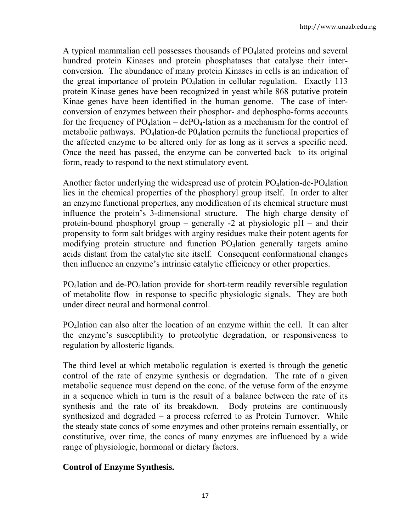A typical mammalian cell possesses thousands of PO<sub>4</sub> lated proteins and several hundred protein Kinases and protein phosphatases that catalyse their interconversion. The abundance of many protein Kinases in cells is an indication of the great importance of protein  $PQ_4$  ation in cellular regulation. Exactly 113 protein Kinase genes have been recognized in yeast while 868 putative protein Kinae genes have been identified in the human genome. The case of interconversion of enzymes between their phosphor- and dephospho-forms accounts for the frequency of  $PO_4$ lation – de $PO_4$ -lation as a mechanism for the control of metabolic pathways. PO<sub>4</sub>lation-de PO<sub>4</sub>lation permits the functional properties of the affected enzyme to be altered only for as long as it serves a specific need. Once the need has passed, the enzyme can be converted back to its original form, ready to respond to the next stimulatory event.

Another factor underlying the widespread use of protein  $PO<sub>4</sub>$ lation-de- $PO<sub>4</sub>$ lation lies in the chemical properties of the phosphoryl group itself. In order to alter an enzyme functional properties, any modification of its chemical structure must influence the protein's 3-dimensional structure. The high charge density of protein-bound phosphoryl group – generally -2 at physiologic pH – and their propensity to form salt bridges with arginy residues make their potent agents for modifying protein structure and function  $PO<sub>4</sub>$ lation generally targets amino acids distant from the catalytic site itself. Consequent conformational changes then influence an enzyme's intrinsic catalytic efficiency or other properties.

PO4lation and de-PO4lation provide for short-term readily reversible regulation of metabolite flow in response to specific physiologic signals. They are both under direct neural and hormonal control.

PO4lation can also alter the location of an enzyme within the cell. It can alter the enzyme's susceptibility to proteolytic degradation, or responsiveness to regulation by allosteric ligands.

The third level at which metabolic regulation is exerted is through the genetic control of the rate of enzyme synthesis or degradation. The rate of a given metabolic sequence must depend on the conc. of the vetuse form of the enzyme in a sequence which in turn is the result of a balance between the rate of its synthesis and the rate of its breakdown. Body proteins are continuously synthesized and degraded – a process referred to as Protein Turnover. While the steady state concs of some enzymes and other proteins remain essentially, or constitutive, over time, the concs of many enzymes are influenced by a wide range of physiologic, hormonal or dietary factors.

# **Control of Enzyme Synthesis.**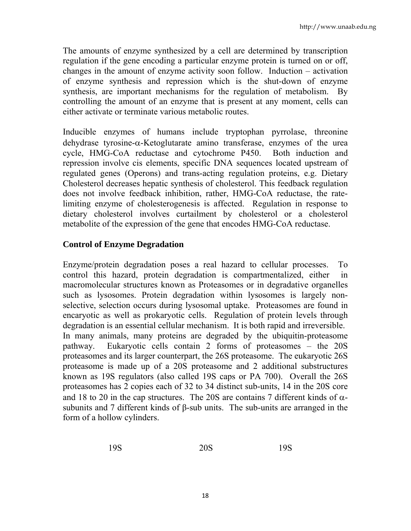The amounts of enzyme synthesized by a cell are determined by transcription regulation if the gene encoding a particular enzyme protein is turned on or off, changes in the amount of enzyme activity soon follow. Induction – activation of enzyme synthesis and repression which is the shut-down of enzyme synthesis, are important mechanisms for the regulation of metabolism. By controlling the amount of an enzyme that is present at any moment, cells can either activate or terminate various metabolic routes.

Inducible enzymes of humans include tryptophan pyrrolase, threonine dehydrase tyrosine-α-Ketoglutarate amino transferase, enzymes of the urea cycle, HMG-CoA reductase and cytochrome P450. Both induction and repression involve cis elements, specific DNA sequences located upstream of regulated genes (Operons) and trans-acting regulation proteins, e.g. Dietary Cholesterol decreases hepatic synthesis of cholesterol. This feedback regulation does not involve feedback inhibition, rather, HMG-CoA reductase, the ratelimiting enzyme of cholesterogenesis is affected. Regulation in response to dietary cholesterol involves curtailment by cholesterol or a cholesterol metabolite of the expression of the gene that encodes HMG-CoA reductase.

## **Control of Enzyme Degradation**

Enzyme/protein degradation poses a real hazard to cellular processes. To control this hazard, protein degradation is compartmentalized, either in macromolecular structures known as Proteasomes or in degradative organelles such as lysosomes. Protein degradation within lysosomes is largely nonselective, selection occurs during lysosomal uptake. Proteasomes are found in encaryotic as well as prokaryotic cells. Regulation of protein levels through degradation is an essential cellular mechanism. It is both rapid and irreversible. In many animals, many proteins are degraded by the ubiquitin-proteasome pathway. Eukaryotic cells contain 2 forms of proteasomes – the 20S proteasomes and its larger counterpart, the 26S proteasome. The eukaryotic 26S proteasome is made up of a 20S proteasome and 2 additional substructures known as 19S regulators (also called 19S caps or PA 700). Overall the 26S proteasomes has 2 copies each of 32 to 34 distinct sub-units, 14 in the 20S core and 18 to 20 in the cap structures. The 20S are contains 7 different kinds of  $\alpha$ subunits and 7 different kinds of β-sub units. The sub-units are arranged in the form of a hollow cylinders.

$$
19S \t\t 20S \t\t 19S
$$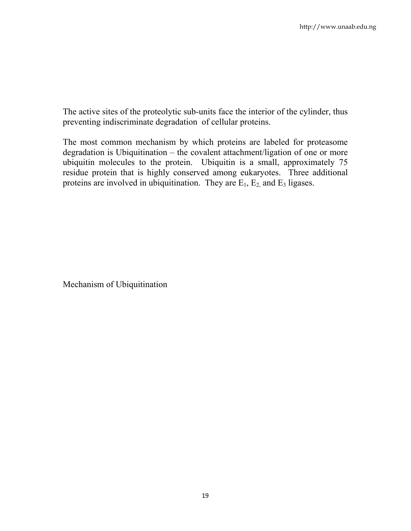The active sites of the proteolytic sub-units face the interior of the cylinder, thus preventing indiscriminate degradation of cellular proteins.

The most common mechanism by which proteins are labeled for proteasome degradation is Ubiquitination – the covalent attachment/ligation of one or more ubiquitin molecules to the protein. Ubiquitin is a small, approximately 75 residue protein that is highly conserved among eukaryotes. Three additional proteins are involved in ubiquitination. They are  $E_1$ ,  $E_2$ , and  $E_3$  ligases.

Mechanism of Ubiquitination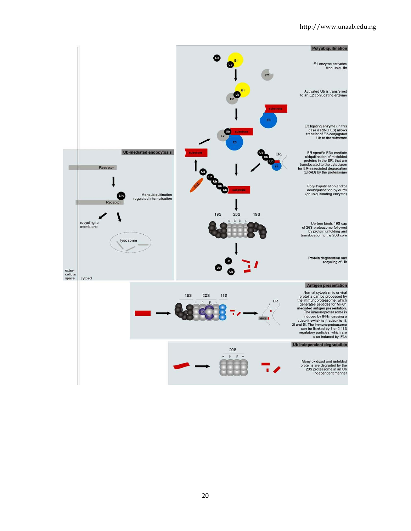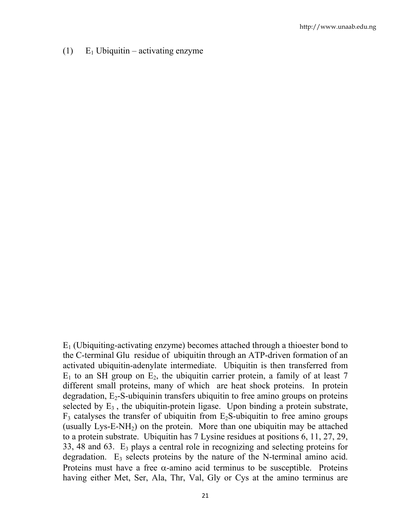(1)  $E_1$  Ubiquitin – activating enzyme

 $E_1$  (Ubiquiting-activating enzyme) becomes attached through a thioester bond to the C-terminal Glu residue of ubiquitin through an ATP-driven formation of an activated ubiquitin-adenylate intermediate. Ubiquitin is then transferred from  $E_1$  to an SH group on  $E_2$ , the ubiquitin carrier protein, a family of at least 7 different small proteins, many of which are heat shock proteins. In protein degradation,  $E_2$ -S-ubiquinin transfers ubiquitin to free amino groups on proteins selected by  $E_3$ , the ubiquitin-protein ligase. Upon binding a protein substrate,  $F_3$  catalyses the transfer of ubiquitin from  $E_2S$ -ubiquitin to free amino groups (usually  $Lys-E-NH_2$ ) on the protein. More than one ubiquitin may be attached to a protein substrate. Ubiquitin has 7 Lysine residues at positions 6, 11, 27, 29, 33, 48 and 63.  $E_3$  plays a central role in recognizing and selecting proteins for degradation.  $E_3$  selects proteins by the nature of the N-terminal amino acid. Proteins must have a free  $\alpha$ -amino acid terminus to be susceptible. Proteins having either Met, Ser, Ala, Thr, Val, Gly or Cys at the amino terminus are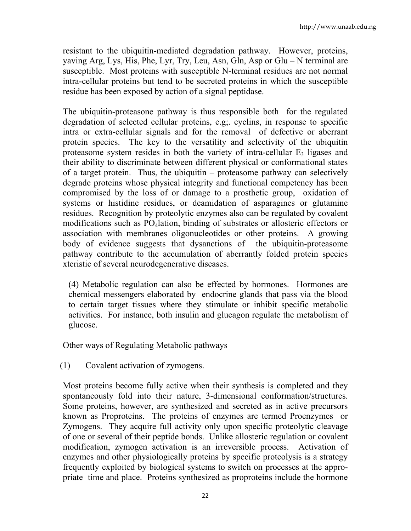resistant to the ubiquitin-mediated degradation pathway. However, proteins, yaving Arg, Lys, His, Phe, Lyr, Try, Leu, Asn, Gln, Asp or Glu – N terminal are susceptible. Most proteins with susceptible N-terminal residues are not normal intra-cellular proteins but tend to be secreted proteins in which the susceptible residue has been exposed by action of a signal peptidase.

The ubiquitin-proteasone pathway is thus responsible both for the regulated degradation of selected cellular proteins, e.g;. cyclins, in response to specific intra or extra-cellular signals and for the removal of defective or aberrant protein species. The key to the versatility and selectivity of the ubiquitin proteasome system resides in both the variety of intra-cellular  $E_3$  ligases and their ability to discriminate between different physical or conformational states of a target protein. Thus, the ubiquitin – proteasome pathway can selectively degrade proteins whose physical integrity and functional competency has been compromised by the loss of or damage to a prosthetic group, oxidation of systems or histidine residues, or deamidation of asparagines or glutamine residues. Recognition by proteolytic enzymes also can be regulated by covalent modifications such as PO4lation, binding of substrates or allosteric effectors or association with membranes oligonucleotides or other proteins. A growing body of evidence suggests that dysanctions of the ubiquitin-proteasome pathway contribute to the accumulation of aberrantly folded protein species xteristic of several neurodegenerative diseases.

(4) Metabolic regulation can also be effected by hormones. Hormones are chemical messengers elaborated by endocrine glands that pass via the blood to certain target tissues where they stimulate or inhibit specific metabolic activities. For instance, both insulin and glucagon regulate the metabolism of glucose.

Other ways of Regulating Metabolic pathways

(1) Covalent activation of zymogens.

Most proteins become fully active when their synthesis is completed and they spontaneously fold into their nature, 3-dimensional conformation/structures. Some proteins, however, are synthesized and secreted as in active precursors known as Proproteins. The proteins of enzymes are termed Proenzymes or Zymogens. They acquire full activity only upon specific proteolytic cleavage of one or several of their peptide bonds. Unlike allosteric regulation or covalent modification, zymogen activation is an irreversible process. Activation of enzymes and other physiologically proteins by specific proteolysis is a strategy frequently exploited by biological systems to switch on processes at the appropriate time and place. Proteins synthesized as proproteins include the hormone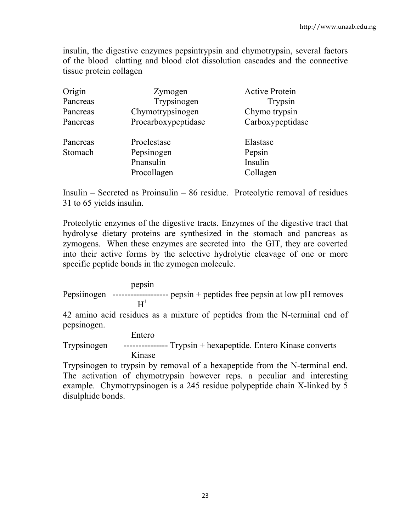insulin, the digestive enzymes pepsintrypsin and chymotrypsin, several factors of the blood clatting and blood clot dissolution cascades and the connective tissue protein collagen

| Origin              | Zymogen                                               | <b>Active Protein</b>                     |
|---------------------|-------------------------------------------------------|-------------------------------------------|
| Pancreas            | Trypsinogen                                           | Trypsin                                   |
| Pancreas            | Chymotrypsinogen                                      | Chymo trypsin                             |
| Pancreas            | Procarboxypeptidase                                   | Carboxypeptidase                          |
| Pancreas<br>Stomach | Proelestase<br>Pepsinogen<br>Pnansulin<br>Procollagen | Elastase<br>Pepsin<br>Insulin<br>Collagen |

Insulin – Secreted as Proinsulin – 86 residue. Proteolytic removal of residues 31 to 65 yields insulin.

Proteolytic enzymes of the digestive tracts. Enzymes of the digestive tract that hydrolyse dietary proteins are synthesized in the stomach and pancreas as zymogens. When these enzymes are secreted into the GIT, they are coverted into their active forms by the selective hydrolytic cleavage of one or more specific peptide bonds in the zymogen molecule.

 pepsin Pepsiinogen ------------------- pepsin + peptides free pepsin at low pH removes  $H^+$ 

42 amino acid residues as a mixture of peptides from the N-terminal end of pepsinogen.

 Entero Trypsinogen --------------- Trypsin + hexapeptide. Entero Kinase converts Kinase

Trypsinogen to trypsin by removal of a hexapeptide from the N-terminal end. The activation of chymotrypsin however reps. a peculiar and interesting example. Chymotrypsinogen is a 245 residue polypeptide chain X-linked by 5 disulphide bonds.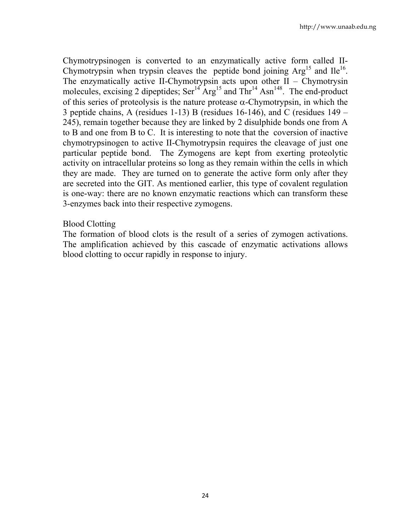Chymotrypsinogen is converted to an enzymatically active form called II-Chymotrypsin when trypsin cleaves the peptide bond joining  $Arg<sup>15</sup>$  and  $Ile<sup>16</sup>$ . The enzymatically active II-Chymotrypsin acts upon other  $II$  – Chymotrysin molecules, excising 2 dipeptides;  $\text{Ser}^{14} \text{Arg}^{15}$  and  $\text{Thr}^{14} \text{Asn}^{148}$ . The end-product of this series of proteolysis is the nature protease  $\alpha$ -Chymotrypsin, in which the 3 peptide chains, A (residues 1-13) B (residues 16-146), and C (residues 149 – 245), remain together because they are linked by 2 disulphide bonds one from A to B and one from B to C. It is interesting to note that the coversion of inactive chymotrypsinogen to active II-Chymotrypsin requires the cleavage of just one particular peptide bond. The Zymogens are kept from exerting proteolytic activity on intracellular proteins so long as they remain within the cells in which they are made. They are turned on to generate the active form only after they are secreted into the GIT. As mentioned earlier, this type of covalent regulation is one-way: there are no known enzymatic reactions which can transform these 3-enzymes back into their respective zymogens.

### Blood Clotting

The formation of blood clots is the result of a series of zymogen activations. The amplification achieved by this cascade of enzymatic activations allows blood clotting to occur rapidly in response to injury.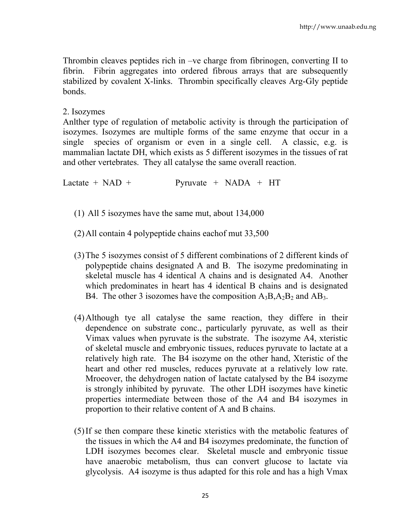Thrombin cleaves peptides rich in –ve charge from fibrinogen, converting II to fibrin. Fibrin aggregates into ordered fibrous arrays that are subsequently stabilized by covalent X-links. Thrombin specifically cleaves Arg-Gly peptide bonds.

### 2. Isozymes

Anlther type of regulation of metabolic activity is through the participation of isozymes. Isozymes are multiple forms of the same enzyme that occur in a single species of organism or even in a single cell. A classic, e.g. is mammalian lactate DH, which exists as 5 different isozymes in the tissues of rat and other vertebrates. They all catalyse the same overall reaction.

Lactate +  $NAD$  + Pyruvate +  $NADA$  + HT

- (1) All 5 isozymes have the same mut, about 134,000
- (2)All contain 4 polypeptide chains eachof mut 33,500
- (3)The 5 isozymes consist of 5 different combinations of 2 different kinds of polypeptide chains designated A and B. The isozyme predominating in skeletal muscle has 4 identical A chains and is designated A4. Another which predominates in heart has 4 identical B chains and is designated B4. The other 3 isozomes have the composition  $A_3B$ ,  $A_2B_2$  and  $AB_3$ .
- (4)Although tye all catalyse the same reaction, they differe in their dependence on substrate conc., particularly pyruvate, as well as their Vimax values when pyruvate is the substrate. The isozyme A4, xteristic of skeletal muscle and embryonic tissues, reduces pyruvate to lactate at a relatively high rate. The B4 isozyme on the other hand, Xteristic of the heart and other red muscles, reduces pyruvate at a relatively low rate. Mroeover, the dehydrogen nation of lactate catalysed by the B4 isozyme is strongly inhibited by pyruvate. The other LDH isozymes have kinetic properties intermediate between those of the A4 and B4 isozymes in proportion to their relative content of A and B chains.
- (5)If se then compare these kinetic xteristics with the metabolic features of the tissues in which the A4 and B4 isozymes predominate, the function of LDH isozymes becomes clear. Skeletal muscle and embryonic tissue have anaerobic metabolism, thus can convert glucose to lactate via glycolysis. A4 isozyme is thus adapted for this role and has a high Vmax